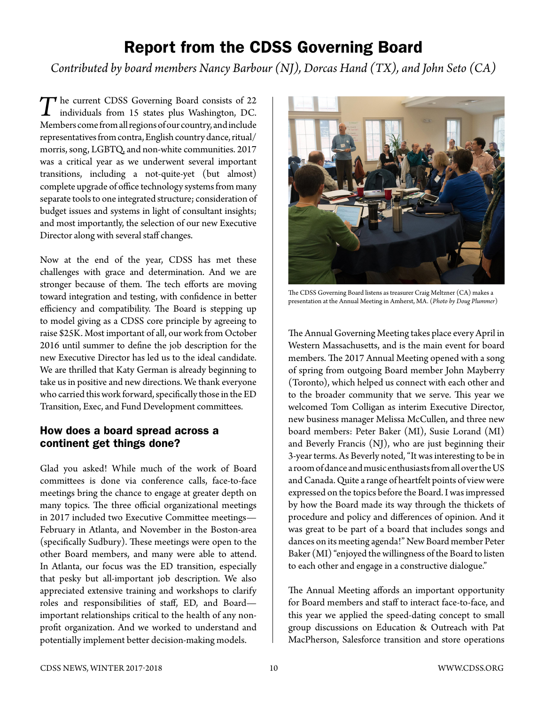## Report from the CDSS Governing Board

*Contributed by board members Nancy Barbour (NJ), Dorcas Hand (TX), and John Seto (CA)* 

The current CDSS Governing Board consists of 22 individuals from 15 states plus Washington, DC. Members come from all regions of our country, and include representatives from contra, English country dance, ritual/ morris, song, LGBTQ, and non-white communities. 2017 was a critical year as we underwent several important transitions, including a not-quite-yet (but almost) complete upgrade of office technology systems from many separate tools to one integrated structure; consideration of budget issues and systems in light of consultant insights; and most importantly, the selection of our new Executive Director along with several staff changes.

Now at the end of the year, CDSS has met these challenges with grace and determination. And we are stronger because of them. The tech efforts are moving toward integration and testing, with confidence in better efficiency and compatibility. The Board is stepping up to model giving as a CDSS core principle by agreeing to raise \$25K. Most important of all, our work from October 2016 until summer to define the job description for the new Executive Director has led us to the ideal candidate. We are thrilled that Katy German is already beginning to take us in positive and new directions. We thank everyone who carried this work forward, specifically those in the ED Transition, Exec, and Fund Development committees.

## How does a board spread across a continent get things done?

Glad you asked! While much of the work of Board committees is done via conference calls, face-to-face meetings bring the chance to engage at greater depth on many topics. The three official organizational meetings in 2017 included two Executive Committee meetings— February in Atlanta, and November in the Boston-area (specifically Sudbury). These meetings were open to the other Board members, and many were able to attend. In Atlanta, our focus was the ED transition, especially that pesky but all-important job description. We also appreciated extensive training and workshops to clarify roles and responsibilities of staff, ED, and Board important relationships critical to the health of any nonprofit organization. And we worked to understand and potentially implement better decision-making models.



The CDSS Governing Board listens as treasurer Craig Meltzner (CA) makes a presentation at the Annual Meeting in Amherst, MA. (*Photo by Doug Plummer*)

The Annual Governing Meeting takes place every April in Western Massachusetts, and is the main event for board members. The 2017 Annual Meeting opened with a song of spring from outgoing Board member John Mayberry (Toronto), which helped us connect with each other and to the broader community that we serve. This year we welcomed Tom Colligan as interim Executive Director, new business manager Melissa McCullen, and three new board members: Peter Baker (MI), Susie Lorand (MI) and Beverly Francis (NJ), who are just beginning their 3-year terms. As Beverly noted, "It was interesting to be in a room of dance and music enthusiasts from all over the US and Canada. Quite a range of heartfelt points of view were expressed on the topics before the Board. I was impressed by how the Board made its way through the thickets of procedure and policy and differences of opinion. And it was great to be part of a board that includes songs and dances on its meeting agenda!" New Board member Peter Baker (MI) "enjoyed the willingness of the Board to listen to each other and engage in a constructive dialogue."

The Annual Meeting affords an important opportunity for Board members and staff to interact face-to-face, and this year we applied the speed-dating concept to small group discussions on Education & Outreach with Pat MacPherson, Salesforce transition and store operations